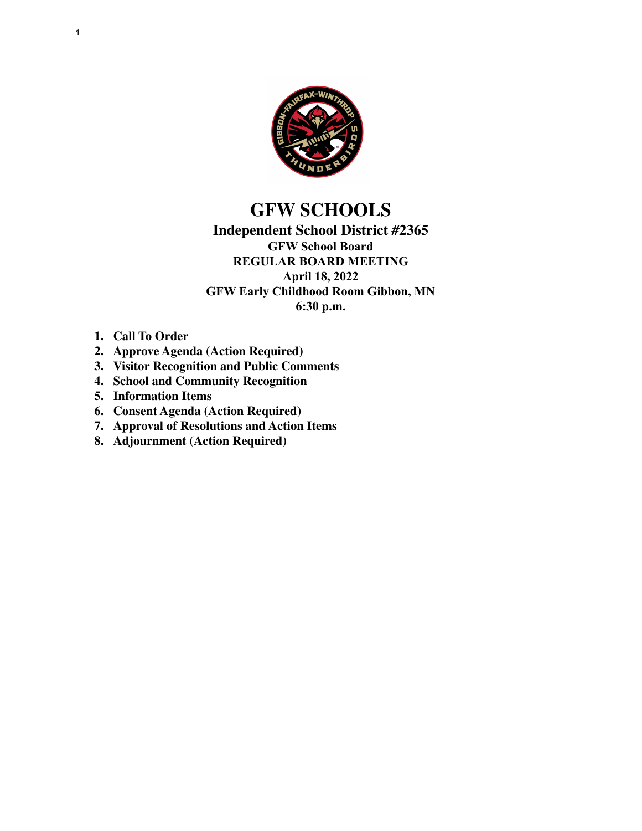

## **GFW SCHOOLS**

### **Independent School District #2365 GFW School Board REGULAR BOARD MEETING April 18, 2022 GFW Early Childhood Room Gibbon, MN 6:30 p.m.**

- **1. Call To Order**
- **2. Approve Agenda (Action Required)**
- **3. Visitor Recognition and Public Comments**
- **4. School and Community Recognition**
- **5. Information Items**
- **6. Consent Agenda (Action Required)**
- **7. Approval of Resolutions and Action Items**
- **8. Adjournment (Action Required)**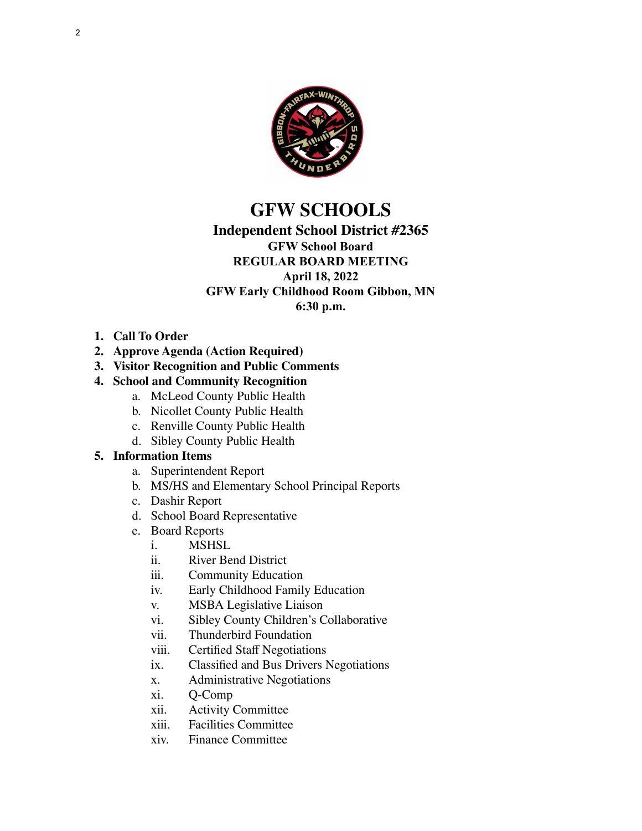

# **GFW SCHOOLS**

## **Independent School District #2365 GFW School Board**

#### **REGULAR BOARD MEETING April 18, 2022 GFW Early Childhood Room Gibbon, MN 6:30 p.m.**

- **1. Call To Order**
- **2. Approve Agenda (Action Required)**
- **3. Visitor Recognition and Public Comments**

## **4. School and Community Recognition**

- a. McLeod County Public Health
- b. Nicollet County Public Health
- c. Renville County Public Health
- d. Sibley County Public Health

## **5. Information Items**

- a. Superintendent Report
- b. MS/HS and Elementary School Principal Reports
- c. Dashir Report
- d. School Board Representative
- e. Board Reports
	- i. MSHSL
	- ii. River Bend District
	- iii. Community Education
	- iv. Early Childhood Family Education
	- v. MSBA Legislative Liaison
	- vi. Sibley County Children's Collaborative
	- vii. Thunderbird Foundation
	- viii. Certified Staff Negotiations
	- ix. Classified and Bus Drivers Negotiations
	- x. Administrative Negotiations
	- xi. Q-Comp
	- xii. Activity Committee
	- xiii. Facilities Committee
	- xiv. Finance Committee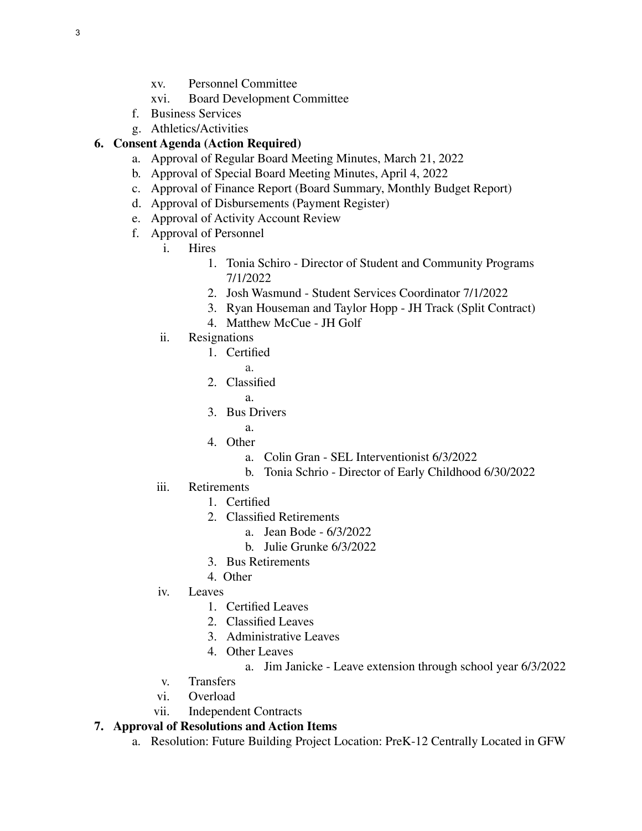- xv. Personnel Committee
- xvi. Board Development Committee
- f. Business Services
- g. Athletics/Activities

## **6. Consent Agenda (Action Required)**

- a. Approval of Regular Board Meeting Minutes, March 21, 2022
- b. Approval of Special Board Meeting Minutes, April 4, 2022
- c. Approval of Finance Report (Board Summary, Monthly Budget Report)
- d. Approval of Disbursements (Payment Register)
- e. Approval of Activity Account Review
- f. Approval of Personnel
	- i. Hires
		- 1. Tonia Schiro Director of Student and Community Programs 7/1/2022
		- 2. Josh Wasmund Student Services Coordinator 7/1/2022
		- 3. Ryan Houseman and Taylor Hopp JH Track (Split Contract)
		- 4. Matthew McCue JH Golf
	- ii. Resignations
		- 1. Certified
			- a.
		- 2. Classified
			- a.
		- 3. Bus Drivers
			- a.
		- 4. Other
			- a. Colin Gran SEL Interventionist 6/3/2022
			- b. Tonia Schrio Director of Early Childhood 6/30/2022
	- iii. Retirements
		- 1. Certified
		- 2. Classified Retirements
			- a. Jean Bode 6/3/2022
			- b. Julie Grunke 6/3/2022
		- 3. Bus Retirements
		- 4. Other
	- iv. Leaves
		- 1. Certified Leaves
		- 2. Classified Leaves
		- 3. Administrative Leaves
		- 4. Other Leaves
			- a. Jim Janicke Leave extension through school year 6/3/2022
	- v. Transfers
	- vi. Overload
	- vii. Independent Contracts

## **7. Approval of Resolutions and Action Items**

a. Resolution: Future Building Project Location: PreK-12 Centrally Located in GFW